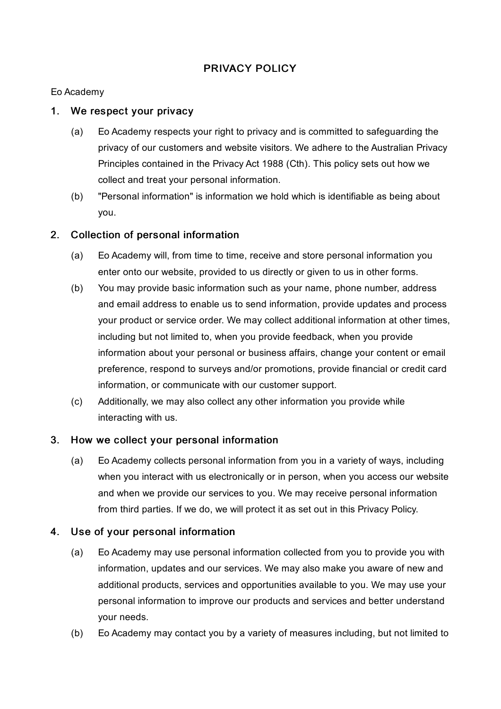# PRIVACY POLICY

## Eo Academy

## 1. We respect your privacy

- (a) Eo Academy respects your right to privacy and is committed to safeguarding the privacy of our customers and website visitors. We adhere to the Australian Privacy Principles contained in the Privacy Act 1988 (Cth). This policy sets out how we collect and treat your personal information.
- (b) "Personal information" is information we hold which is identifiable as being about you.

#### 2. Collection of personal information

- (a) Eo Academy will, from time to time, receive and store personal information you enter onto our website, provided to us directly or given to us in other forms.
- (b) You may provide basic information such as your name, phone number, address and email address to enable us to send information, provide updates and process your product or service order. We may collect additional information at other times, including but not limited to, when you provide feedback, when you provide information about your personal or business affairs, change your content or email preference, respond to surveys and/or promotions, provide financial or credit card information, or communicate with our customer support.
- (c) Additionally, we may also collect any other information you provide while interacting with us.

#### 3. How we collect your personal information

(a) Eo Academy collects personal information from you in a variety of ways, including when you interact with us electronically or in person, when you access our website and when we provide our services to you. We may receive personal information from third parties. If we do, we will protect it as set out in this Privacy Policy.

#### 4. Use of your personal information

- (a) Eo Academy may use personal information collected from you to provide you with information, updates and our services. We may also make you aware of new and additional products, services and opportunities available to you. We may use your personal information to improve our products and services and better understand your needs.
- (b) Eo Academy may contact you by a variety of measures including, but not limited to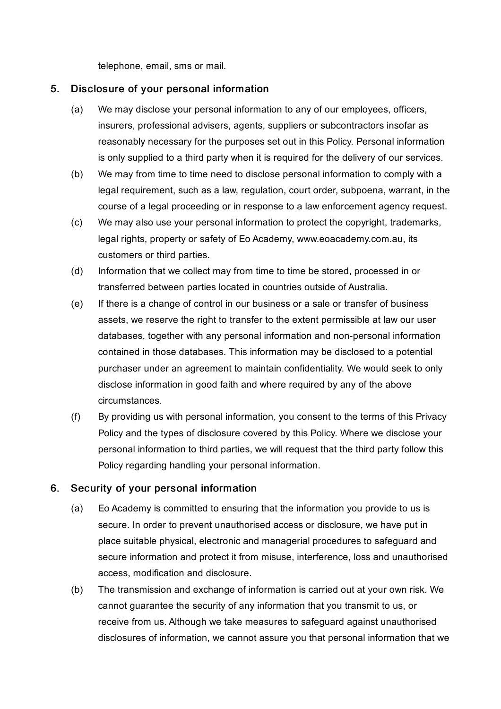telephone, email, sms or mail.

#### 5. Disclosure of your personal information

- (a) We may disclose your personal information to any of our employees, officers, insurers, professional advisers, agents, suppliers or subcontractors insofar as reasonably necessary for the purposes set out in this Policy. Personal information is only supplied to a third party when it is required for the delivery of our services.
- (b) We may from time to time need to disclose personal information to comply with a legal requirement, such as a law, regulation, court order, subpoena, warrant, in the course of a legal proceeding or in response to a law enforcement agency request.
- (c) We may also use your personal information to protect the copyright, trademarks, legal rights, property or safety of Eo Academy, www.eoacademy.com.au, its customers or third parties.
- (d) Information that we collect may from time to time be stored, processed in or transferred between parties located in countries outside of Australia.
- (e) If there is a change of control in our business or a sale or transfer of business assets, we reserve the right to transfer to the extent permissible at law our user databases, together with any personal information and non-personal information contained in those databases. This information may be disclosed to a potential purchaser under an agreement to maintain confidentiality. We would seek to only disclose information in good faith and where required by any of the above circumstances.
- (f) By providing us with personal information, you consent to the terms of this Privacy Policy and the types of disclosure covered by this Policy. Where we disclose your personal information to third parties, we will request that the third party follow this Policy regarding handling your personal information.

#### 6. Security of your personal information

- (a) Eo Academy is committed to ensuring that the information you provide to us is secure. In order to prevent unauthorised access or disclosure, we have put in place suitable physical, electronic and managerial procedures to safeguard and secure information and protect it from misuse, interference, loss and unauthorised access, modification and disclosure.
- (b) The transmission and exchange of information is carried out at your own risk. We cannot guarantee the security of any information that you transmit to us, or receive from us. Although we take measures to safeguard against unauthorised disclosures of information, we cannot assure you that personal information that we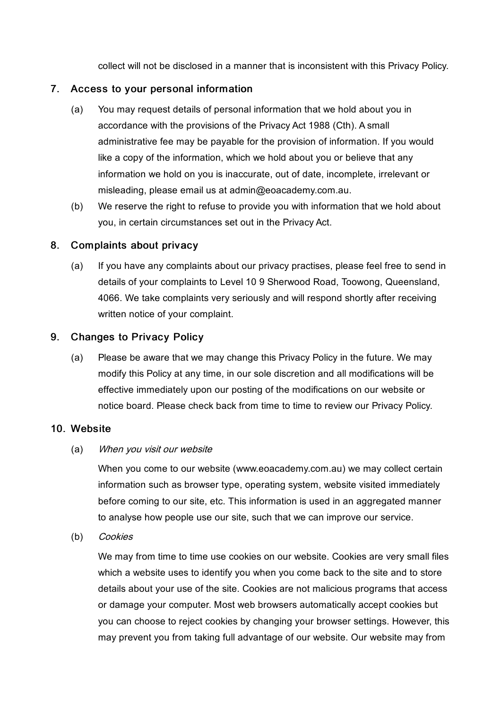collect will not be disclosed in a manner that is inconsistent with this Privacy Policy.

## 7. Access to your personal information

- $(a)$ You may request details of personal information that we hold about you in accordance with the provisions of the Privacy Act 1988 (Cth). A small administrative fee may be payable for the provision of information. If you would like a copy of the information, which we hold about you or believe that any information we hold on you is inaccurate, out of date, incomplete, irrelevant or misleading, please email us at admin@eoacademy.com.au.
- (b) We reserve the right to refuse to provide you with information that we hold about you, in certain circumstances set out in the Privacy Act.

#### 8. Complaints about privacy

(a) If you have any complaints about our privacy practises, please feel free to send in details of your complaints to Level 10 9 Sherwood Road, Toowong, Queensland, 4066. We take complaints very seriously and will respond shortly after receiving written notice of your complaint.

#### 9. Changes to Privacy Policy

(a) Please be aware that we may change this Privacy Policy in the future. We may modify this Policy at any time, in our sole discretion and all modifications will be effective immediately upon our posting of the modifications on our website or notice board. Please check back from time to time to review our Privacy Policy.

### 10. Website

#### (a) When you visit our website

When you come to our website (www.eoacademy.com.au) we may collect certain information such as browser type, operating system, website visited immediately before coming to our site, etc. This information is used in an aggregated manner to analyse how people use our site, such that we can improve our service.

(b) **Cookies** 

> We may from time to time use cookies on our website. Cookies are very small files which a website uses to identify you when you come back to the site and to store details about your use of the site. Cookies are not malicious programs that access or damage your computer. Most web browsers automatically accept cookies but you can choose to reject cookies by changing your browser settings. However, this may prevent you from taking full advantage of our website. Our website may from